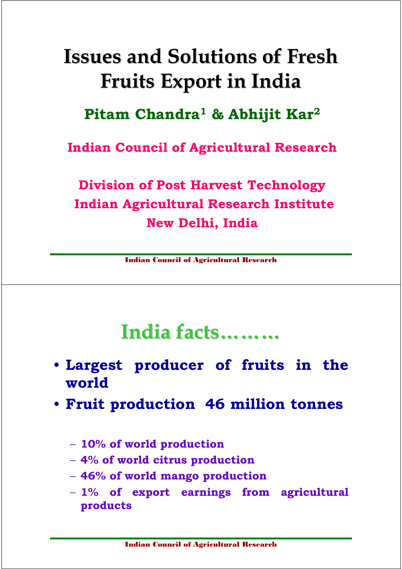## Issues and Solutions of Fresh Fruits Export in India

#### Pitam Chandra<sup>1</sup> & Abhijit Kar<sup>2</sup>

Indian Council of Agricultural Research

Division of Post Harvest Technology Indian Agricultural Research Institute New Delhi, India

Indian Council of Agricultural Research

### India facts………

- Largest producer of fruits in the world
- Fruit production 46 million tonnes
	- 10% of world production
	- 4% of world citrus production
	- 46% of world mango production
	- $-1\%$  of export earnings from agricultural products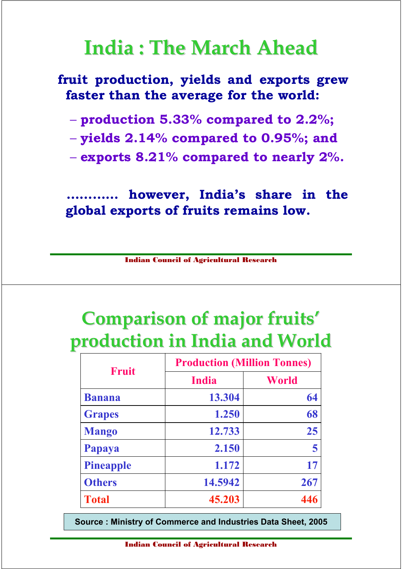## India : The March Ahead

#### fruit production, yields and exports grew faster than the average for the world:

- production 5.33% compared to 2.2%;
- yields 2.14% compared to 0.95%; and
- $-$  exports 8.21% compared to nearly 2%.

however, India's share in the global exports of fruits remains low.

Indian Council of Agricultural Research

## Comparison of major fruits' production in India and World

| <b>Fruit</b>     | <b>Production (Million Tonnes)</b> |       |
|------------------|------------------------------------|-------|
|                  | <b>India</b>                       | World |
| <b>Banana</b>    | 13.304                             | 64    |
| <b>Grapes</b>    | 1.250                              | 68    |
| <b>Mango</b>     | 12.733                             | 25    |
| Papaya           | 2.150                              | 5     |
| <b>Pineapple</b> | 1.172                              | 17    |
| <b>Others</b>    | 14.5942                            | 267   |
| <b>Total</b>     | 45.203                             | 446   |

Source : Ministry of Commerce and Industries Data Sheet, 2005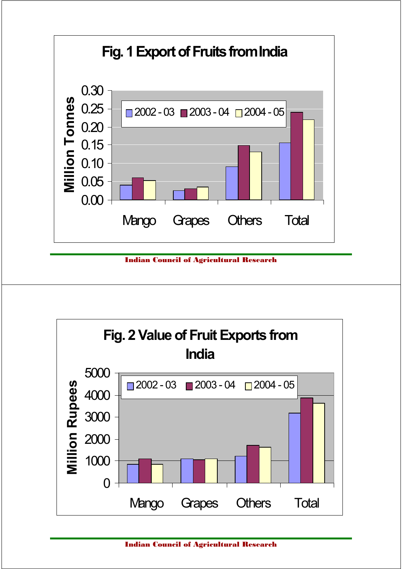

Indian Council of Agricultural Research

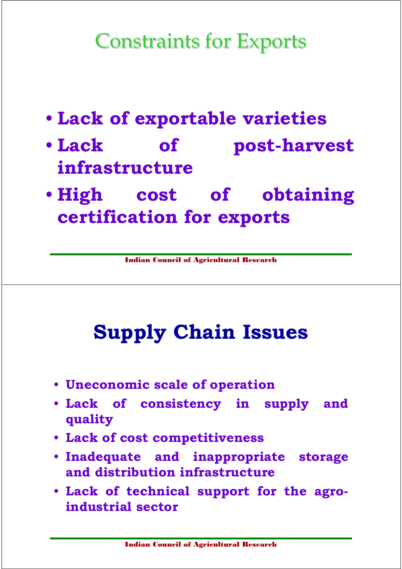# Constraints for Exports

- Lack of exportable varieties
- Lack of post-harvest infrastructure
- High cost of obtaining certification for exports

Indian Council of Agricultural Research

# Supply Chain Issues

- Uneconomic scale of operation
- Lack of consistency in supply and quality
- Lack of cost competitiveness
- Inadequate and inappropriate storage and distribution infrastructure
- Lack of technical support for the agroindustrial sector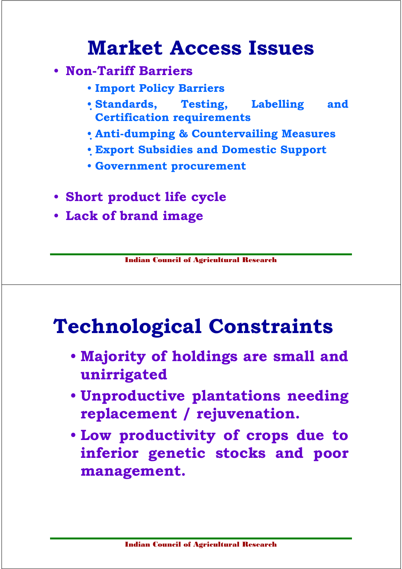## Market Access Issues

- Non-Tariff Barriers
	- Import Policy Barriers
	- Standards, Testing, Labelling and Certification requirements
	- Anti-dumping & Countervailing Measures
	- Export Subsidies and Domestic Support
	- Government procurement
- Short product life cycle
- Lack of brand image

Indian Council of Agricultural Research

## Technological Constraints

- Majority of holdings are small and unirrigated
- Unproductive plantations needing replacement / rejuvenation.
- Low productivity of crops due to inferior genetic stocks and poor management.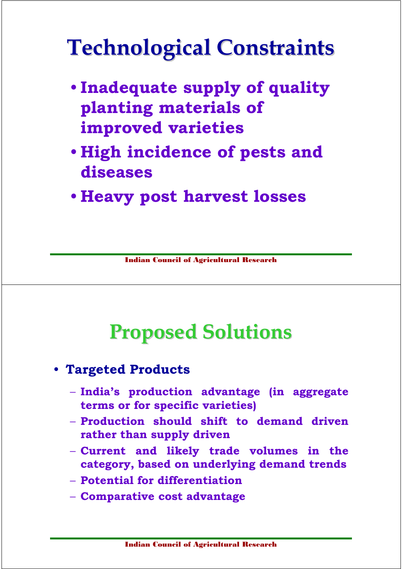# Technological Constraints

- Inadequate supply of quality planting materials of improved varieties
- High incidence of pests and diseases
- Heavy post harvest losses

Indian Council of Agricultural Research

# Proposed Solutions

- Targeted Products
	- India's production advantage (in aggregate terms or for specific varieties)
	- Production should shift to demand driven rather than supply driven
	- Current and likely trade volumes in the category, based on underlying demand trends
	- Potential for differentiation
	- Comparative cost advantage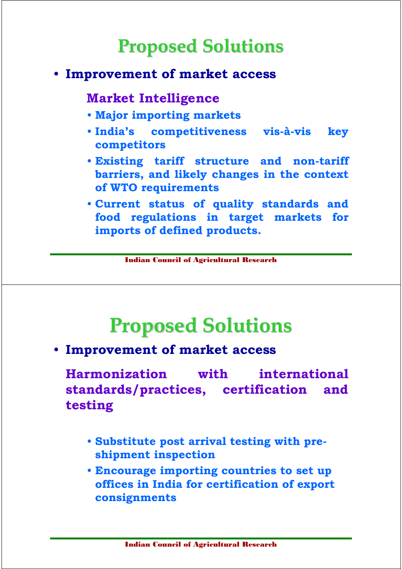### Proposed Solutions

#### • Improvement of market access

#### Market Intelligence

- Major importing markets
- India's competitiveness vis-à-vis key competitors
- Existing tariff structure and non-tariff barriers, and likely changes in the context of WTO requirements
- Current status of quality standards and food regulations in target markets for imports of defined products.

Indian Council of Agricultural Research

## Proposed Solutions

• Improvement of market access

Harmonization with international standards/practices, certification and testing

- Substitute post arrival testing with preshipment inspection
- Encourage importing countries to set up offices in India for certification of export consignments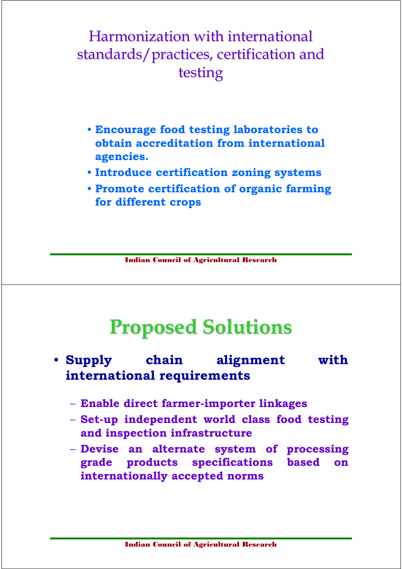#### Harmonization with international standards/practices, certification and testing

- Encourage food testing laboratories to obtain accreditation from international agencies.
- Introduce certification zoning systems
- Promote certification of organic farming for different crops

Indian Council of Agricultural Research

## Proposed Solutions

- Supply chain alignment with international requirements
	- Enable direct farmer-importer linkages
	- Set-up independent world class food testing and inspection infrastructure
	- Devise an alternate system of processing grade products specifications based on internationally accepted norms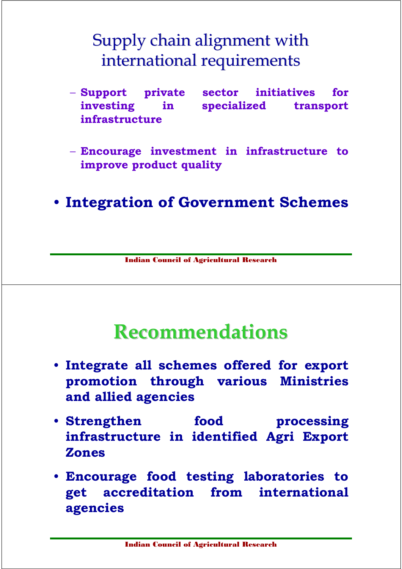#### Supply chain alignment with international requirements

– Support private sector initiatives for investing in specialized transport infrastructure

– Encourage investment in infrastructure to improve product quality

• Integration of Government Schemes

Indian Council of Agricultural Research

#### Recommendations

- Integrate all schemes offered for export promotion through various Ministries and allied agencies
- Strengthen food processing infrastructure in identified Agri Export Zones
- Encourage food testing laboratories to get accreditation from international agencies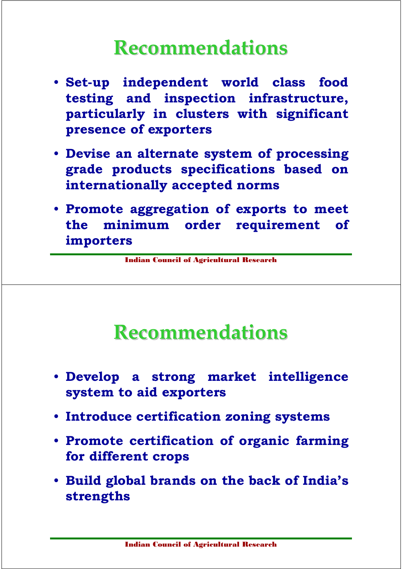## Recommendations

- Set-up independent world class food testing and inspection infrastructure, particularly in clusters with significant presence of exporters
- Devise an alternate system of processing grade products specifications based on internationally accepted norms
- Promote aggregation of exports to meet the minimum order requirement of importers

Indian Council of Agricultural Research

### Recommendations

- Develop a strong market intelligence system to aid exporters
- Introduce certification zoning systems
- Promote certification of organic farming for different crops
- Build global brands on the back of India's strengths